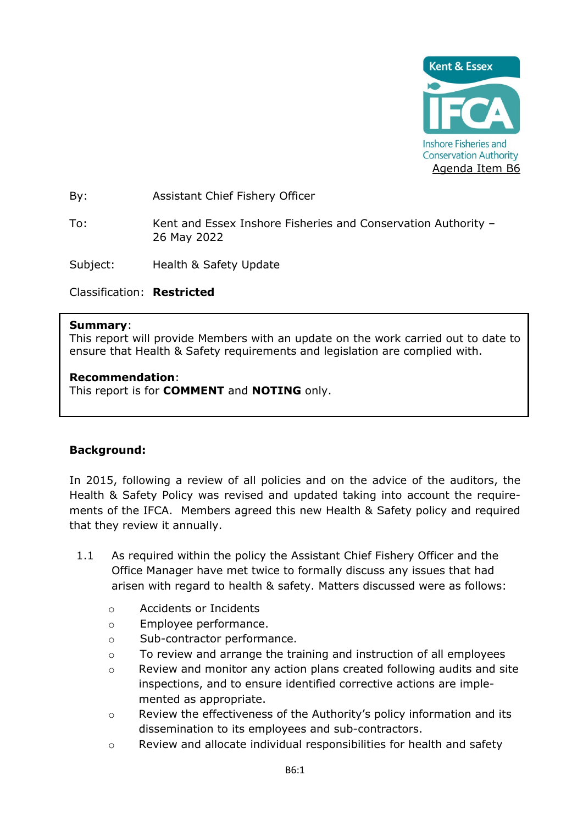

By: Assistant Chief Fishery Officer

To: Kent and Essex Inshore Fisheries and Conservation Authority – 26 May 2022

Subject: Health & Safety Update

Classification: **Restricted**

## **Summary**:

This report will provide Members with an update on the work carried out to date to ensure that Health & Safety requirements and legislation are complied with.

## **Recommendation**:

This report is for **COMMENT** and **NOTING** only.

## **Background:**

In 2015, following a review of all policies and on the advice of the auditors, the Health & Safety Policy was revised and updated taking into account the requirements of the IFCA. Members agreed this new Health & Safety policy and required that they review it annually.

- 1.1 As required within the policy the Assistant Chief Fishery Officer and the Office Manager have met twice to formally discuss any issues that had arisen with regard to health & safety. Matters discussed were as follows:
	- o Accidents or Incidents
	- o Employee performance.
	- o Sub-contractor performance.
	- o To review and arrange the training and instruction of all employees
	- o Review and monitor any action plans created following audits and site inspections, and to ensure identified corrective actions are implemented as appropriate.
	- o Review the effectiveness of the Authority's policy information and its dissemination to its employees and sub-contractors.
	- o Review and allocate individual responsibilities for health and safety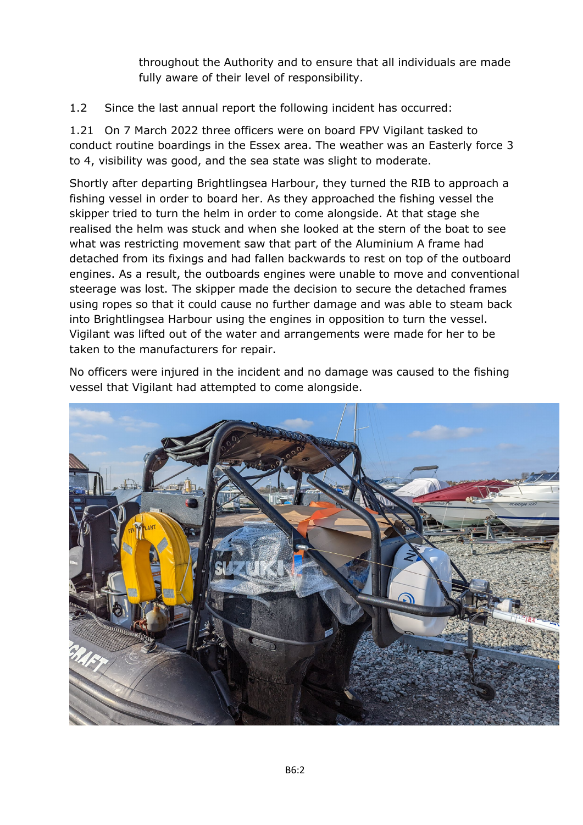throughout the Authority and to ensure that all individuals are made fully aware of their level of responsibility.

1.2 Since the last annual report the following incident has occurred:

1.21 On 7 March 2022 three officers were on board FPV Vigilant tasked to conduct routine boardings in the Essex area. The weather was an Easterly force 3 to 4, visibility was good, and the sea state was slight to moderate.

Shortly after departing Brightlingsea Harbour, they turned the RIB to approach a fishing vessel in order to board her. As they approached the fishing vessel the skipper tried to turn the helm in order to come alongside. At that stage she realised the helm was stuck and when she looked at the stern of the boat to see what was restricting movement saw that part of the Aluminium A frame had detached from its fixings and had fallen backwards to rest on top of the outboard engines. As a result, the outboards engines were unable to move and conventional steerage was lost. The skipper made the decision to secure the detached frames using ropes so that it could cause no further damage and was able to steam back into Brightlingsea Harbour using the engines in opposition to turn the vessel. Vigilant was lifted out of the water and arrangements were made for her to be taken to the manufacturers for repair.

No officers were injured in the incident and no damage was caused to the fishing vessel that Vigilant had attempted to come alongside.